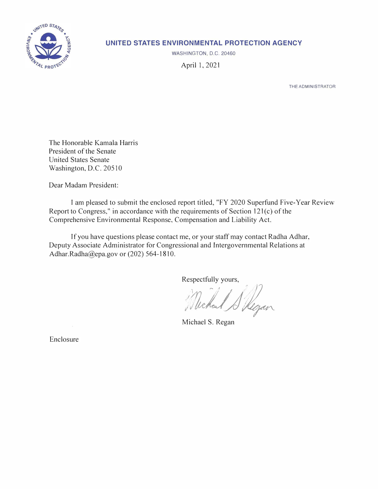

# **UNITED STATES ENVIRONMENTAL PROTECTION AGENCY**

WASHINGTON, D.C. 20460

April 1, 2021

THE ADMINISTRATOR

The Honorable Kamala Harris President of the Senate United States Senate Washington, D.C. 20510

Dear Madam President:

I am pleased to submit the enclosed report titled, "FY 2020 Superfund Five-Year Review Report to Congress," in accordance with the requirements of Section 121(c) of the Comprehensive Environmental Response, Compensation and Liability Act.

If you have questions please contact me, or your staff may contact Radha Adhar, Deputy Associate Administrator for Congressional and Intergovernmental Relations at [Adhar.Radha@epa.gov](mailto:Adhar.Radha@epa.gov) or (202) 564-1810.

Respectfully yours,

Michael Skegan

Michael S. Regan

Enclosure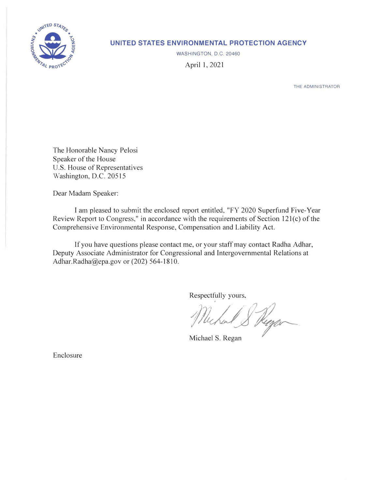

# **UNITED STATES ENVIRONMENTAL PROTECTION AGENCY**

WASHINGTON, D.C. 20460

April I, 2021

THE ADMINISTRATOR

The Honorable Nancy Pelosi Speaker of the House U.S. House of Representatives Washington, D.C. 20515

Dear Madam Speaker:

I am pleased to submit the enclosed report entitled, "FY 2020 Superfund Five-Year Review Report to Congress," in accordance with the requirements of Section 12l(c) of the Comprehensive Environmental Response, Compensation and Liability Act.

If you have questions please contact me, or your staff may contact Radha Adhar, Deputy Associate Administrator for Congressional and Intergovernmental Relations at [Adhar.Radha@epa.gov](mailto:Adhar.Radha@epa.gov) or (202) 564-1810.

Respectfully yours,

*/,�1)1* / *// (;1\_/;/J* Michael & Keeper **Michael S. Regan** *'7* 

Enclosure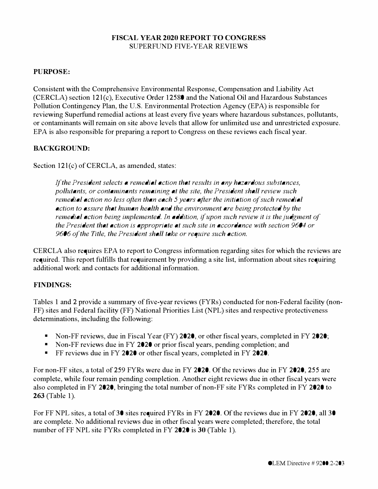## **FISCAL YEAR 2020 REPORT TO CONGRESS**  SUPERFUND FIVE-YEAR REVIEWS

### **PURPOSE:**

Consistent with the Comprehensive Environmental Response, Compensation and Liability Act (CERCLA) section 12l(c), Executive Order 12580 and the National Oil and Hazardous Substances Pollution Contingency Plan, the U.S. Environmental Protection Agency (EPA) is responsible for reviewing Superfund remedial actions at least every five years where hazardous substances, pollutants, or contaminants will remain on site above levels that allow for unlimited use and unrestricted exposure. EPA is also responsible for preparing a report to Congress on these reviews each fiscal year.

## **BACKGROUND:**

Section 121(c) of CERCLA, as amended, states:

*If the President selects a remedial action that results in any hazardous substances, pollutants, or contaminants remaining at the site, the President shall review such remedial action no less often than each 5 years after the initiation of such remedial action to assure that human health and the environment are being protected by the remedial action being implemented. In addition, if upon such review it is the judgment of the President that action is appropriate at such site in accordance with section 9604 or 9606 of the Title, the President shall take or require such action.* 

CERCLA also requires EPA to report to Congress information regarding sites for which the reviews are required. This report fulfills that requirement by providing a site list, information about sites requiring additional work and contacts for additional information.

# **FINDINGS:**

Tables 1 and 2 provide a summary of five-year reviews (FYRs) conducted for non-Federal facility (non-FF) sites and Federal facility (FF) National Priorities List (NPL) sites and respective protectiveness determinations, including the following:

- Non-FF reviews, due in Fiscal Year (FY) 2020, or other fiscal years, completed in FY 2020;<br>• Non-FF reviews due in FY 2020 or prior fiscal years, pending completion; and<br>• FF reviews due in FY 2020 or other fiscal years,
- 
- 

For non-FF sites, a total of 259 FYRs were due in FY 2020. Of the reviews due in FY 2020, 255 are complete, while four remain pending completion. Another eight reviews due in other fiscal years were also completed in FY 2020, bringing the total number of non-FF site FYRs completed in FY 2020 to **263** (Table 1).

For FF NPL sites, a total of 30 sites required FYRs in FY 2020. Of the reviews due in FY 2020, all 30 are complete. No additional reviews due in other fiscal years were completed; therefore, the total number of FF NPL site FYRs completed in FY 2020 is **30** (Table 1 ).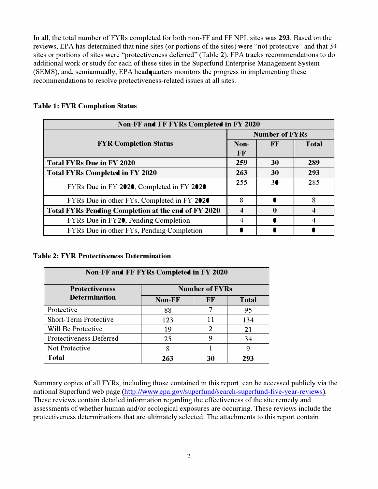In all, the total number of FYRs completed for both non-FF and FF NPL sites was **293.** Based on the reviews, EPA has determined that nine sites (or portions of the sites) were "not protective" and that 34 sites or portions of sites were "protectiveness deferred" (Table 2). EPA tracks recommendations to do additional work or study for each of these sites in the Superfund Enterprise Management System (SEMS), and, semiannually, EPA headquarters monitors the progress in implementing these recommendations to resolve protectiveness-related issues at all sites.

| Non-FF and FF FYRs Completed in FY 2020                    |                       |    |              |  |  |
|------------------------------------------------------------|-----------------------|----|--------------|--|--|
|                                                            | <b>Number of FYRs</b> |    |              |  |  |
| <b>FYR Completion Status</b>                               | Non-                  | FF | <b>Total</b> |  |  |
|                                                            | FF                    |    |              |  |  |
| <b>Total FYRs Due in FY 2020</b>                           | 259                   | 30 | 289          |  |  |
| <b>Total FYRs Completed in FY 2020</b>                     | 263                   | 30 | 293          |  |  |
| FYRs Due in FY 2020, Completed in FY 2020                  | 255                   | 30 | 285          |  |  |
| FYRs Due in other FYs, Completed in FY 2020                | 8                     |    | 8            |  |  |
| <b>Total FYRs Pending Completion at the end of FY 2020</b> |                       | 0  |              |  |  |
| FYRs Due in FY20, Pending Completion                       |                       |    |              |  |  |
| FYRs Due in other FYs, Pending Completion                  |                       |    |              |  |  |

#### **Table 1: FYR Completion Status**

#### **Table 2: FYR Protectiveness Determination**

| Non-FF and FF FYRs Completed in FY 2020 |        |                       |              |  |  |  |  |
|-----------------------------------------|--------|-----------------------|--------------|--|--|--|--|
| <b>Protectiveness</b>                   |        | <b>Number of FYRs</b> |              |  |  |  |  |
| <b>Determination</b>                    | Non-FF | FF                    | <b>Total</b> |  |  |  |  |
| Protective                              | 88     | 7                     | 95           |  |  |  |  |
| <b>Short-Term Protective</b>            | 123    | 11                    | 134          |  |  |  |  |
| Will Be Protective                      | 19     | 2                     | 21           |  |  |  |  |
| Protectiveness Deferred                 | 25     | 9                     | 34           |  |  |  |  |
| Not Protective<br>8<br>9                |        |                       |              |  |  |  |  |
| <b>Total</b>                            | 263    | 30                    | 293          |  |  |  |  |

Summary copies of all FYRs, including those contained in this report, can be accessed publicly via the national Superfund web page [\(http://www.epa.gov/superfund/search-superfund-five-year-reviews \)](http://www.epa.gov/superfund/search-superfund-five-year-reviews). These reviews contain detailed information regarding the effectiveness of the site remedy and assessments of whether human and/or ecological exposures are occurring. These reviews include the protectiveness determinations that are ultimately selected. The attachments to this report contain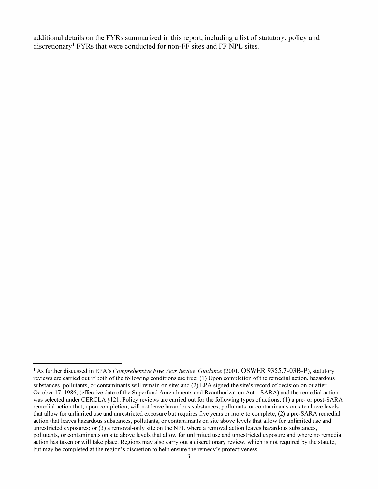**additional details on the FYRs summarized in this report, including a list of statutory, policy and discretionary**[1](#page-4-0) **FYRs that were conducted for non-FF sites and FF NPL sites.** 

<span id="page-4-0"></span><sup>&</sup>lt;sup>1</sup> As further discussed in EPA's *Comprehensive Five Year Review Guidance* (2001, OSWER 9355.7-03B-P), statutory reviews are carried out ifboth of the following conditions are true: (1) Upon completion of the remedial action, hazardous substances, pollutants, or contaminants will remain on site; and (2) EPA signed the site's record of decision on or after October 17, 1986, (effective date of the Superfund Amendments and Reauthorization Act- SARA) and the remedial action was selected under CERCLA § 121. Policy reviews are carried out for the following types of actions: (1) a pre- or post-SARA remedial action that, upon completion, will not leave hazardous substances, pollutants, or contaminants on site above levels that allow for unlimited use and unrestricted exposure but requires five years or more to complete; (2) a pre-SARA remedial action that leaves hazardous substances, pollutants, or contaminants on site above levels that allow for unlimited use and unrestricted exposures; or (3) a removal-only site on the NPL where a removal action leaves hazardous substances, pollutants, or contaminants on site above levels that allow for unlimited use and unrestricted exposure and where no remedial action has taken or will take place. Regions may also carry out a discretionary review, which is not required by the statute, but may be completed at the region's discretion to help ensure the remedy's protectiveness.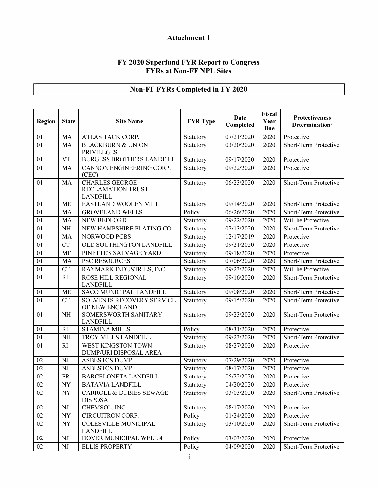# **Attachment 1**

#### **FY 2020 Superfund FYR Report to Congress FYRs at Non-FF NPL Sites**

# **Non-FF FYRs Completed in FY 2020**

| Region          | <b>State</b> | <b>Site Name</b>                                              | <b>FYR Type</b> | Date<br>Completed       | Fiscal<br>Year<br>Due | <b>Protectiveness</b><br>Determination <sup>a</sup> |
|-----------------|--------------|---------------------------------------------------------------|-----------------|-------------------------|-----------------------|-----------------------------------------------------|
| 01              | <b>MA</b>    | ATLAS TACK CORP.                                              | Statutory       | 07/21/2020              | 2020                  | Protective                                          |
| 01              | MA           | <b>BLACKBURN &amp; UNION</b><br><b>PRIVILEGES</b>             | Statutory       | 03/20/2020              | 2020                  | Short-Term Protective                               |
| 01              | <b>VT</b>    | <b>BURGESS BROTHERS LANDFILL</b>                              | Statutory       | 09/17/2020              | 2020                  | Protective                                          |
| 01              | MA           | CANNON ENGINEERING CORP.<br>(CEC)                             | Statutory       | 09/22/2020              | 2020                  | Protective                                          |
| 01              | <b>MA</b>    | <b>CHARLES GEORGE</b><br>RECLAMATION TRUST<br><b>LANDFILL</b> | Statutory       | 06/23/2020              | 2020                  | Short-Term Protective                               |
| 01              | <b>ME</b>    | EASTLAND WOOLEN MILL                                          | Statutory       | $\overline{09}/14/2020$ | 2020                  | Short-Term Protective                               |
| 01              | MA           | <b>GROVELAND WELLS</b>                                        | Policy          | 06/26/2020              | 2020                  | Short-Term Protective                               |
| 01              | MA           | <b>NEW BEDFORD</b>                                            | Statutory       | 09/22/2020              | 2020                  | Will be Protective                                  |
| 01              | <b>NH</b>    | NEW HAMPSHIRE PLATING CO.                                     | Statutory       | 02/13/2020              | 2020                  | Short-Term Protective                               |
| 01              | MA           | NORWOOD PCBS                                                  | Statutory       | 12/17/2019              | 2020                  | Protective                                          |
| 01              | <b>CT</b>    | OLD SOUTHINGTON LANDFILL                                      | Statutory       | 09/21/2020              | 2020                  | Protective                                          |
| 01              | <b>ME</b>    | PINETTE'S SALVAGE YARD                                        | Statutory       | 09/18/2020              | 2020                  | Protective                                          |
| 01              | MA           | PSC RESOURCES                                                 | Statutory       | 07/06/2020              | 2020                  | Short-Term Protective                               |
| 01              | <b>CT</b>    | RAYMARK INDUSTRIES, INC.                                      | Statutory       | 09/23/2020              | 2020                  | Will be Protective                                  |
| 01              | RI           | ROSE HILL REGIONAL<br><b>LANDFILL</b>                         | Statutory       | 09/16/2020              | 2020                  | Short-Term Protective                               |
| 01              | <b>ME</b>    | <b>SACO MUNICIPAL LANDFILL</b>                                | Statutory       | 09/08/2020              | 2020                  | Short-Term Protective                               |
| 01              | <b>CT</b>    | <b>SOLVENTS RECOVERY SERVICE</b><br>OF NEW ENGLAND            | Statutory       | 09/15/2020              | 2020                  | Short-Term Protective                               |
| 01              | <b>NH</b>    | SOMERSWORTH SANITARY<br><b>LANDFILL</b>                       | Statutory       | 09/23/2020              | 2020                  | Short-Term Protective                               |
| 01              | RI           | <b>STAMINA MILLS</b>                                          | Policy          | 08/31/2020              | 2020                  | Protective                                          |
| 01              | NH           | TROY MILLS LANDFILL                                           | Statutory       | 09/23/2020              | 2020                  | Short-Term Protective                               |
| 01              | RI           | WEST KINGSTON TOWN<br>DUMP/URI DISPOSAL AREA                  | Statutory       | 08/27/2020              | 2020                  | Protective                                          |
| 02              | NJ           | <b>ASBESTOS DUMP</b>                                          | Statutory       | 07/29/2020              | 2020                  | Protective                                          |
| 02              | <b>NJ</b>    | <b>ASBESTOS DUMP</b>                                          | Statutory       | 08/17/2020              | 2020                  | Protective                                          |
| 02              | PR           | <b>BARCELONETA LANDFILL</b>                                   | Statutory       | 05/22/2020              | 2020                  | Protective                                          |
| $02\,$          | <b>NY</b>    | <b>BATAVIA LANDFILL</b>                                       | Statutory       | 04/20/2020              | 2020                  | Protective                                          |
| 02              | NY           | <b>CARROLL &amp; DUBIES SEWAGE</b><br><b>DISPOSAL</b>         | Statutory       | 03/03/2020              | 2020                  | Short-Term Protective                               |
| 02              | $\rm{NJ}$    | CHEMSOL, INC.                                                 | Statutory       | 08/17/2020              | 2020                  | Protective                                          |
| $\overline{02}$ | NY           | CIRCUITRON CORP.                                              | Policy          | 01/24/2020              | 2020                  | Protective                                          |
| 02              | <b>NY</b>    | <b>COLESVILLE MUNICIPAL</b><br><b>LANDFILL</b>                | Statutory       | 03/10/2020              | 2020                  | Short-Term Protective                               |
| 02              | NJ           | DOVER MUNICIPAL WELL 4                                        | Policy          | 03/03/2020              | 2020                  | Protective                                          |
| 02              | NJ           | <b>ELLIS PROPERTY</b>                                         | Policy          | 04/09/2020              | 2020                  | Short-Term Protective                               |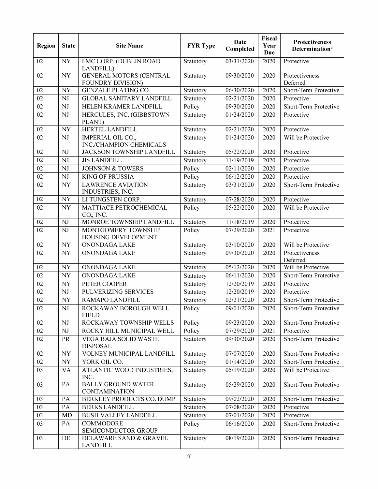| Region          | <b>State</b>             | <b>Site Name</b>                                    | <b>FYR Type</b> | <b>Date</b><br>Completed | Fiscal<br>Year<br><b>Due</b> | Protectiveness<br><b>Determination</b> <sup>a</sup> |
|-----------------|--------------------------|-----------------------------------------------------|-----------------|--------------------------|------------------------------|-----------------------------------------------------|
| 02              | <b>NY</b>                | FMC CORP. (DUBLIN ROAD<br>LANDFILL)                 | Statutory       | 03/31/2020               | 2020                         | Protective                                          |
| 02              | <b>NY</b>                | <b>GENERAL MOTORS (CENTRAL</b><br>FOUNDRY DIVISION) | Statutory       | 09/30/2020               | 2020                         | Protectiveness<br>Deferred                          |
| 02              | <b>NY</b>                | <b>GENZALE PLATING CO.</b>                          | Statutory       | 06/30/2020               | 2020                         | Short-Term Protective                               |
| 02              | NJ                       | <b>GLOBAL SANITARY LANDFILL</b>                     | Statutory       | $\overline{02}/21/2020$  | 2020                         | Protective                                          |
| $\overline{02}$ | NJ                       | HELEN KRAMER LANDFILL                               | Policy          | 09/30/2020               | 2020                         | Short-Term Protective                               |
| $\overline{02}$ | NJ                       | HERCULES, INC. (GIBBSTOWN<br>PLANT)                 | Statutory       | 01/24/2020               | 2020                         | Protective                                          |
| 02              | <b>NY</b>                | HERTEL LANDFILL                                     | Statutory       | 02/21/2020               | 2020                         | Protective                                          |
| $\overline{02}$ | $\rm{NJ}$                | IMPERIAL OIL CO.,                                   | Statutory       | 01/24/2020               | 2020                         | Will be Protective                                  |
|                 |                          | INC/CHAMPION CHEMICALS                              |                 |                          |                              |                                                     |
| 02              | NJ                       | JACKSON TOWNSHIP LANDFILL                           | Statutory       | 05/22/2020               | 2020                         | Protective                                          |
| 02              | NJ                       | <b>JIS LANDFILL</b>                                 | Statutory       | 11/19/2019               | 2020                         | Protective                                          |
| 02              | NJ                       | <b>JOHNSON &amp; TOWERS</b>                         | Policy          | 02/11/2020               | 2020                         | Protective                                          |
| 02              | NJ                       | <b>KING OF PRUSSIA</b>                              | Policy          | 06/12/2020               | 2020                         | Protective                                          |
| 02              | <b>NY</b>                | <b>LAWRENCE AVIATION</b><br>INDUSTRIES, INC.        | Statutory       | 03/31/2020               | 2020                         | Short-Term Protective                               |
| 02              | <b>NY</b>                | LI TUNGSTEN CORP.                                   | Statutory       | 07/28/2020               | 2020                         | Protective                                          |
| 02              | <b>NY</b>                | MATTIACE PETROCHEMICAL<br>CO., INC.                 | Policy          | 05/22/2020               | 2020                         | Will be Protective                                  |
| 02              | $\mathbf{N}\mathbf{J}$   | MONROE TOWNSHIP LANDFILL                            | Statutory       | 11/18/2019               | 2020                         | Protective                                          |
| 02              | NJ                       | MONTGOMERY TOWNSHIP<br>HOUSING DEVELOPMENT          | Policy          | 07/29/2020               | 2021                         | Protective                                          |
| 02              | NY                       | <b>ONONDAGA LAKE</b>                                | Statutory       | 03/10/2020               | 2020                         | Will be Protective                                  |
| 02              | <b>NY</b>                | ONONDAGA LAKE                                       | Statutory       | 09/30/2020               | 2020                         | Protectiveness<br>Deferred                          |
| 02              | <b>NY</b>                | ONONDAGA LAKE                                       | Statutory       | 05/12/2020               | 2020                         | Will be Protective                                  |
| 02              | <b>NY</b>                | ONONDAGA LAKE                                       | Statutory       | 06/11/2020               | 2020                         | Short-Term Protective                               |
| 02              | <b>NY</b>                | PETER COOPER                                        | Statutory       | 12/20/2019               | 2020                         | Protective                                          |
| $\overline{02}$ | NJ                       | PULVERIZING SERVICES                                | Statutory       | 12/20/2019               | 2020                         | Protective                                          |
| 02              | NY                       | RAMAPO LANDFILL                                     | Statutory       | 02/21/2020               | 2020                         | Short-Term Protective                               |
| 02              | <b>NJ</b>                | ROCKAWAY BOROUGH WELL<br><b>FIELD</b>               | Policy          | 09/01/2020               | 2020                         | Short-Term Protective                               |
| 02              | NJ                       | ROCKAWAY TOWNSHIP WELLS                             | Policy          | 09/23/2020               | 2020                         | Short-Term Protective                               |
| 02              | NJ                       | ROCKY HILL MUNICIPAL WELL                           | Policy          | 07/29/2020               | 2021                         | Protective                                          |
| 02              | PR                       | <b>VEGA BAJA SOLID WASTE</b><br><b>DISPOSAL</b>     | Statutory       | 09/30/2020               | 2020                         | Short-Term Protective                               |
| 02              | NY                       | VOLNEY MUNICIPAL LANDFILL                           | Statutory       | 07/07/2020               | 2020                         | Short-Term Protective                               |
| 02              | $\ensuremath{\text{NY}}$ | YORK OIL CO.                                        | Statutory       | 01/14/2020               | 2020                         | Short-Term Protective                               |
| 03              | VA                       | ATLANTIC WOOD INDUSTRIES,<br>INC.                   | Statutory       | 05/19/2020               | 2020                         | Will be Protective                                  |
| 03              | PA                       | <b>BALLY GROUND WATER</b><br><b>CONTAMINATION</b>   | Statutory       | 05/29/2020               | 2020                         | Short-Term Protective                               |
| 03              | PA                       | BERKLEY PRODUCTS CO. DUMP                           | Statutory       | 09/02/2020               | 2020                         | Short-Term Protective                               |
| 03              | PA                       | <b>BERKS LANDFILL</b>                               | Statutory       | 07/08/2020               | 2020                         | Protective                                          |
| $\overline{03}$ | <b>MD</b>                | <b>BUSH VALLEY LANDFILL</b>                         | Statutory       | 07/01/2020               | 2020                         | Protective                                          |
| 03              | PA                       | COMMODORE<br>SEMICONDUCTOR GROUP                    | Policy          | 06/16/2020               | 2020                         | Short-Term Protective                               |
| 03              | DE                       | DELAWARE SAND & GRAVEL<br><b>LANDFILL</b>           | Statutory       | 08/19/2020               | 2020                         | Short-Term Protective                               |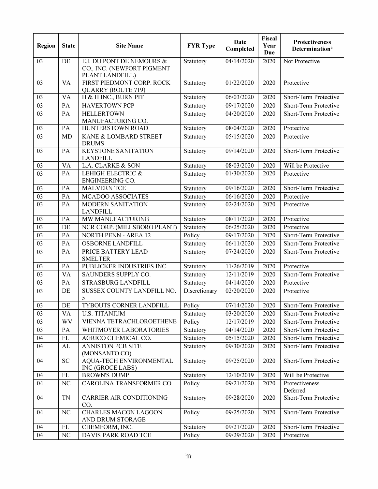| <b>Region</b> | <b>State</b> | <b>Site Name</b>                                                           | <b>FYR Type</b> | Date<br>Completed       | Fiscal<br>Year<br>Due | <b>Protectiveness</b><br>Determination <sup>a</sup> |
|---------------|--------------|----------------------------------------------------------------------------|-----------------|-------------------------|-----------------------|-----------------------------------------------------|
| 03            | DE           | E.I. DU PONT DE NEMOURS &<br>CO., INC. (NEWPORT PIGMENT<br>PLANT LANDFILL) | Statutory       | 04/14/2020              | 2020                  | Not Protective                                      |
| 03            | VA           | FIRST PIEDMONT CORP. ROCK<br><b>QUARRY (ROUTE 719)</b>                     | Statutory       | 01/22/2020              | 2020                  | Protective                                          |
| 03            | <b>VA</b>    | H & H INC., BURN PIT                                                       | Statutory       | 06/03/2020              | 2020                  | Short-Term Protective                               |
| 03            | PA           | <b>HAVERTOWN PCP</b>                                                       | Statutory       | $\overline{09/17/2020}$ | 2020                  | Short-Term Protective                               |
| 03            | PA           | <b>HELLERTOWN</b><br>MANUFACTURING CO.                                     | Statutory       | 04/20/2020              | 2020                  | Short-Term Protective                               |
| 03            | PA           | HUNTERSTOWN ROAD                                                           | Statutory       | 08/04/2020              | 2020                  | Protective                                          |
| 03            | MD           | KANE & LOMBARD STREET<br><b>DRUMS</b>                                      | Statutory       | 05/15/2020              | 2020                  | Protective                                          |
| 03            | PA           | <b>KEYSTONE SANITATION</b><br><b>LANDFILL</b>                              | Statutory       | 09/14/2020              | 2020                  | Short-Term Protective                               |
| 03            | <b>VA</b>    | <b>L.A. CLARKE &amp; SON</b>                                               | Statutory       | 08/03/2020              | 2020                  | Will be Protective                                  |
| 03            | PA           | LEHIGH ELECTRIC &<br>ENGINEERING CO.                                       | Statutory       | 01/30/2020              | 2020                  | Protective                                          |
| 03            | PA           | <b>MALVERN TCE</b>                                                         | Statutory       | 09/16/2020              | 2020                  | Short-Term Protective                               |
| 03            | PA           | MCADOO ASSOCIATES                                                          | Statutory       | 06/16/2020              | 2020                  | Protective                                          |
| 03            | PA           | <b>MODERN SANITATION</b><br><b>LANDFILL</b>                                | Statutory       | 02/24/2020              | 2020                  | Protective                                          |
| 03            | PA           | MW MANUFACTURING                                                           | Statutory       | 08/11/2020              | 2020                  | Protective                                          |
| 03            | DE           | NCR CORP. (MILLSBORO PLANT)                                                | Statutory       | 06/25/2020              | 2020                  | Protective                                          |
| 03            | PA           | <b>NORTH PENN - AREA 12</b>                                                | Policy          | 09/17/2020              | 2020                  | Short-Term Protective                               |
| 03            | PA           | <b>OSBORNE LANDFILL</b>                                                    | Statutory       | 06/11/2020              | 2020                  | Short-Term Protective                               |
| 03            | PA           | PRICE BATTERY LEAD<br><b>SMELTER</b>                                       | Statutory       | 07/24/2020              | 2020                  | Short-Term Protective                               |
| 03            | PA           | PUBLICKER INDUSTRIES INC.                                                  | Statutory       | 11/26/2019              | 2020                  | Protective                                          |
| 03            | <b>VA</b>    | SAUNDERS SUPPLY CO.                                                        | Statutory       | 12/11/2019              | 2020                  | Short-Term Protective                               |
| 03            | PA           | STRASBURG LANDFILL                                                         | Statutory       | 04/14/2020              | 2020                  | Protective                                          |
| 03            | DE           | SUSSEX COUNTY LANDFILL NO.<br>5                                            | Discretionary   | 02/20/2020              | 2020                  | Protective                                          |
| 03            | DE           | <b>TYBOUTS CORNER LANDFILL</b>                                             | Policy          | 07/14/2020              | 2020                  | Short-Term Protective                               |
| 03            | <b>VA</b>    | <b>U.S. TITANIUM</b>                                                       | Statutory       | 03/20/2020              | 2020                  | Short-Term Protective                               |
| 03            | WV           | VIENNA TETRACHLOROETHENE                                                   | Policy          | 12/17/2019              | 2020                  | Short-Term Protective                               |
| 03            | PA           | WHITMOYER LABORATORIES                                                     | Statutory       | 04/14/2020              | 2020                  | Short-Term Protective                               |
| 04            | FL           | AGRICO CHEMICAL CO.                                                        | Statutory       | 05/15/2020              | 2020                  | Short-Term Protective                               |
| 04            | AL           | <b>ANNISTON PCB SITE</b><br>(MONSANTO CO)                                  | Statutory       | 09/30/2020              | 2020                  | Short-Term Protective                               |
| 04            | <b>SC</b>    | AQUA-TECH ENVIRONMENTAL<br>INC (GROCE LABS)                                | Statutory       | 09/25/2020              | 2020                  | Short-Term Protective                               |
| 04            | <b>FL</b>    | <b>BROWN'S DUMP</b>                                                        | Statutory       | 12/10/2019              | 2020                  | Will be Protective                                  |
| 04            | NC           | CAROLINA TRANSFORMER CO.                                                   | Policy          | 09/21/2020              | 2020                  | Protectiveness<br>Deferred                          |
| 04            | TN           | CARRIER AIR CONDITIONING<br>CO.                                            | Statutory       | 09/28/2020              | 2020                  | Short-Term Protective                               |
| 04            | NC           | <b>CHARLES MACON LAGOON</b><br>AND DRUM STORAGE                            | Policy          | 09/25/2020              | 2020                  | Short-Term Protective                               |
| 04            | <b>FL</b>    | CHEMFORM, INC.                                                             | Statutory       | 09/21/2020              | 2020                  | Short-Term Protective                               |
| 04            | NC           | DAVIS PARK ROAD TCE                                                        | Policy          | $\frac{09}{29292020}$   | 2020                  | Protective                                          |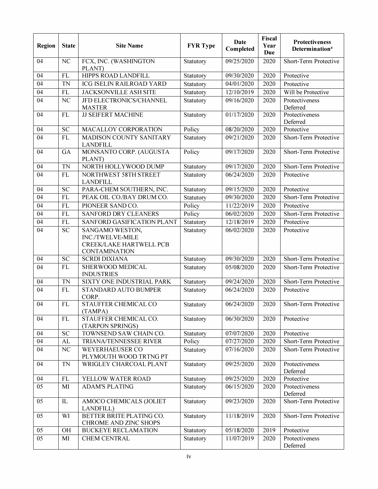| Region | <b>State</b>   | <b>Site Name</b>                                                                       | <b>FYR Type</b> | <b>Date</b><br>Completed | Fiscal<br>Year<br>Due | Protectiveness<br>Determination <sup>a</sup> |
|--------|----------------|----------------------------------------------------------------------------------------|-----------------|--------------------------|-----------------------|----------------------------------------------|
| 04     | NC             | FCX, INC. (WASHINGTON<br>PLANT)                                                        | Statutory       | 09/25/2020               | 2020                  | Short-Term Protective                        |
| 04     | <b>FL</b>      | HIPPS ROAD LANDFILL                                                                    | Statutory       | 09/30/2020               | 2020                  | Protective                                   |
| 04     | <b>TN</b>      | <b>ICG ISELIN RAILROAD YARD</b>                                                        | Statutory       | 04/01/2020               | 2020                  | Protective                                   |
| 04     | <b>FL</b>      | JACKSONVILLE ASH SITE                                                                  | Statutory       | 12/10/2019               | 2020                  | Will be Protective                           |
| 04     | N <sub>C</sub> | JFD ELECTRONICS/CHANNEL<br><b>MASTER</b>                                               | Statutory       | 09/16/2020               | 2020                  | Protectiveness<br>Deferred                   |
| 04     | <b>FL</b>      | <b>JJ SEIFERT MACHINE</b>                                                              | Statutory       | 01/17/2020               | 2020                  | Protectiveness<br>Deferred                   |
| 04     | <b>SC</b>      | MACALLOY CORPORATION                                                                   | Policy          | 08/20/2020               | 2020                  | Protective                                   |
| 04     | <b>FL</b>      | <b>MADISON COUNTY SANITARY</b><br><b>LANDFILL</b>                                      | Statutory       | 09/21/2020               | 2020                  | Short-Term Protective                        |
| 04     | GA             | MONSANTO CORP. (AUGUSTA<br>PLANT)                                                      | Policy          | 09/17/2020               | 2020                  | Short-Term Protective                        |
| 04     | <b>TN</b>      | NORTH HOLLYWOOD DUMP                                                                   | Statutory       | 09/17/2020               | 2020                  | Short-Term Protective                        |
| 04     | <b>FL</b>      | NORTHWEST 58TH STREET<br><b>LANDFILL</b>                                               | Statutory       | 06/24/2020               | 2020                  | Protective                                   |
| 04     | <b>SC</b>      | PARA-CHEM SOUTHERN, INC.                                                               | Statutory       | 09/15/2020               | 2020                  | Protective                                   |
| 04     | <b>FL</b>      | PEAK OIL CO/BAY DRUM CO.                                                               | Statutory       | 09/30/2020               | 2020                  | Short-Term Protective                        |
| 04     | <b>FL</b>      | PIONEER SAND CO.                                                                       | Policy          | 11/22/2019               | 2020                  | Protective                                   |
| 04     | <b>FL</b>      | <b>SANFORD DRY CLEANERS</b>                                                            | Policy          | 06/02/2020               | 2020                  | Short-Term Protective                        |
| 04     | <b>FL</b>      | SANFORD GASIFICATION PLANT                                                             | Statutory       | 12/18/2019               | 2020                  | Protective                                   |
| 04     | <b>SC</b>      | SANGAMO WESTON,<br>INC./TWELVE-MILE<br>CREEK/LAKE HARTWELL PCB<br><b>CONTAMINATION</b> | Statutory       | 06/02/2020               | 2020                  | Protective                                   |
| 04     | <b>SC</b>      | <b>SCRDI DIXIANA</b>                                                                   | Statutory       | 09/30/2020               | 2020                  | Short-Term Protective                        |
| 04     | FL             | SHERWOOD MEDICAL<br><b>INDUSTRIES</b>                                                  | Statutory       | 05/08/2020               | 2020                  | Short-Term Protective                        |
| 04     | <b>TN</b>      | SIXTY ONE INDUSTRIAL PARK                                                              | Statutory       | 09/24/2020               | 2020                  | Short-Term Protective                        |
| 04     | FL             | <b>STANDARD AUTO BUMPER</b><br>CORP.                                                   | Statutory       | 06/24/2020               | 2020                  | Protective                                   |
| 04     | <b>FL</b>      | STAUFFER CHEMICAL CO<br>(TAMPA)                                                        | Statutory       | 06/24/2020               | 2020                  | Short-Term Protective                        |
| 04     | <b>FL</b>      | STAUFFER CHEMICAL CO.<br>(TARPON SPRINGS)                                              | Statutory       | 06/30/2020               | 2020                  | Protective                                   |
| 04     | <b>SC</b>      | TOWNSEND SAW CHAIN CO.                                                                 | Statutory       | 07/07/2020               | 2020                  | Protective                                   |
| 04     | AL             | <b>TRIANA/TENNESSEE RIVER</b>                                                          | Policy          | 07/27/2020               | 2020                  | Short-Term Protective                        |
| 04     | NC             | <b>WEYERHAEUSER CO</b><br>PLYMOUTH WOOD TRTNG PT                                       | Statutory       | 07/16/2020               | 2020                  | Short-Term Protective                        |
| 04     | TN             | WRIGLEY CHARCOAL PLANT                                                                 | Statutory       | 09/25/2020               | 2020                  | Protectiveness<br>Deferred                   |
| 04     | <b>FL</b>      | YELLOW WATER ROAD                                                                      | Statutory       | 09/25/2020               | 2020                  | Protective                                   |
| 05     | MI             | <b>ADAM'S PLATING</b>                                                                  | Statutory       | 06/15/2020               | 2020                  | Protectiveness<br>Deferred                   |
| 05     | IL             | AMOCO CHEMICALS (JOLIET<br>LANDFILL)                                                   | Statutory       | 09/23/2020               | 2020                  | Short-Term Protective                        |
| 05     | WI             | BETTER BRITE PLATING CO.<br>CHROME AND ZINC SHOPS                                      | Statutory       | 11/18/2019               | 2020                  | Short-Term Protective                        |
| 05     | <b>OH</b>      | <b>BUCKEYE RECLAMATION</b>                                                             | Statutory       | 05/18/2020               | 2019                  | Protective                                   |
| 05     | MI             | <b>CHEM CENTRAL</b>                                                                    | Statutory       | 11/07/2019               | 2020                  | Protectiveness<br>Deferred                   |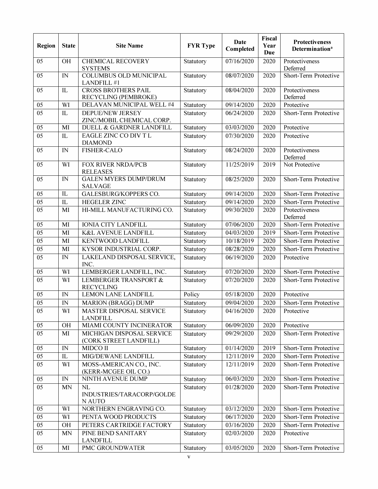| Region          | <b>State</b>               | <b>Site Name</b>                                     | <b>FYR Type</b> | <b>Date</b><br>Completed | Fiscal<br>Year<br>Due | Protectiveness<br><b>Determination</b> <sup>a</sup> |
|-----------------|----------------------------|------------------------------------------------------|-----------------|--------------------------|-----------------------|-----------------------------------------------------|
| 05              | <b>OH</b>                  | <b>CHEMICAL RECOVERY</b><br><b>SYSTEMS</b>           | Statutory       | 07/16/2020               | 2020                  | Protectiveness<br>Deferred                          |
| 05              | IN                         | <b>COLUMBUS OLD MUNICIPAL</b><br>LANDFILL #1         | Statutory       | 08/07/2020               | 2020                  | Short-Term Protective                               |
| 05              | IL                         | <b>CROSS BROTHERS PAIL</b><br>RECYCLING (PEMBROKE)   | Statutory       | 08/04/2020               | 2020                  | Protectiveness<br>Deferred                          |
| 05              | WI                         | DELAVAN MUNICIPAL WELL #4                            | Statutory       | 09/14/2020               | 2020                  | Protective                                          |
| 05              | IL                         | DEPUE/NEW JERSEY<br>ZINC/MOBIL CHEMICAL CORP.        | Statutory       | 06/24/2020               | 2020                  | Short-Term Protective                               |
| 05              | MI                         | DUELL & GARDNER LANDFILL                             | Statutory       | 03/03/2020               | 2020                  | Protective                                          |
| 05              | IL                         | EAGLE ZINC CO DIV T L<br><b>DIAMOND</b>              | Statutory       | 07/30/2020               | 2020                  | Protective                                          |
| 05              | IN                         | <b>FISHER-CALO</b>                                   | Statutory       | 08/24/2020               | 2020                  | Protectiveness<br>Deferred                          |
| 05              | WI                         | FOX RIVER NRDA/PCB<br><b>RELEASES</b>                | Statutory       | 11/25/2019               | 2019                  | Not Protective                                      |
| 05              | IN                         | <b>GALEN MYERS DUMP/DRUM</b><br><b>SALVAGE</b>       | Statutory       | 08/25/2020               | 2020                  | Short-Term Protective                               |
| 05              | IL                         | <b>GALESBURG/KOPPERS CO.</b>                         | Statutory       | 09/14/2020               | 2020                  | Short-Term Protective                               |
| 05              | IL                         | <b>HEGELER ZINC</b>                                  | Statutory       | 09/14/2020               | 2020                  | Short-Term Protective                               |
| 05              | MI                         | HI-MILL MANUFACTURING CO.                            | Statutory       | 09/30/2020               | 2020                  | Protectiveness<br>Deferred                          |
| 05              | MI                         | <b>IONIA CITY LANDFILL</b>                           | Statutory       | 07/06/2020               | 2020                  | Short-Term Protective                               |
| $\overline{05}$ | MI                         | <b>K&amp;L AVENUE LANDFILL</b>                       | Statutory       | 04/03/2020               | 2019                  | Short-Term Protective                               |
| 05              | MI                         | KENTWOOD LANDFILL                                    | Statutory       | 10/18/2019               | 2020                  | Short-Term Protective                               |
| 05              | MI                         | KYSOR INDUSTRIAL CORP.                               | Statutory       | 08/28/2020               | 2020                  | Short-Term Protective                               |
| 05              | IN                         | LAKELAND DISPOSAL SERVICE,<br>INC.                   | Statutory       | 06/19/2020               | 2020                  | Protective                                          |
| 05              | WI                         | LEMBERGER LANDFILL, INC.                             | Statutory       | 07/20/2020               | 2020                  | Short-Term Protective                               |
| 05              | WI                         | <b>LEMBERGER TRANSPORT &amp;</b><br><b>RECYCLING</b> | Statutory       | 07/20/2020               | 2020                  | Short-Term Protective                               |
| 05              | IN                         | <b>LEMON LANE LANDFILL</b>                           | Policy          | 05/18/2020               | 2020                  | Protective                                          |
| 05              | IN                         | <b>MARION (BRAGG) DUMP</b>                           | Statutory       | 09/04/2020               | 2020                  | Short-Term Protective                               |
| 05              | WI                         | <b>MASTER DISPOSAL SERVICE</b><br><b>LANDFILL</b>    | Statutory       | 04/16/2020               | 2020                  | Protective                                          |
| 05              | <b>OH</b>                  | MIAMI COUNTY INCINERATOR                             | Statutory       | 06/09/2020               | 2020                  | Protective                                          |
| $\overline{05}$ | MI                         | MICHIGAN DISPOSAL SERVICE<br>(CORK STREET LANDFILL)  | Statutory       | 09/29/2020               | 2020                  | Short-Term Protective                               |
| 05              | IN                         | <b>MIDCO II</b>                                      | Statutory       | 01/14/2020               | 2019                  | Short-Term Protective                               |
| 05              | $\mathbf{L}$               | MIG/DEWANE LANDFILL                                  | Statutory       | 12/11/2019               | 2020                  | Short-Term Protective                               |
| 05              | WI                         | MOSS-AMERICAN CO., INC.<br>(KERR-MCGEE OIL CO.)      | Statutory       | 12/11/2019               | 2020                  | Short-Term Protective                               |
| 05              | $\ensuremath{\mathsf{IN}}$ | NINTH AVENUE DUMP                                    | Statutory       | 06/03/2020               | 2020                  | Short-Term Protective                               |
| 05              | <b>MN</b>                  | NL<br>INDUSTRIES/TARACORP/GOLDE<br>N AUTO            | Statutory       | 01/28/2020               | 2020                  | Short-Term Protective                               |
| 05              | WI                         | NORTHERN ENGRAVING CO.                               | Statutory       | 03/12/2020               | 2020                  | Short-Term Protective                               |
| 05              | WI                         | PENTA WOOD PRODUCTS                                  | Statutory       | 06/17/2020               | 2020                  | Short-Term Protective                               |
| 05              | <b>OH</b>                  | PETERS CARTRIDGE FACTORY                             | Statutory       | 03/16/2020               | 2020                  | Short-Term Protective                               |
| $\overline{05}$ | <b>MN</b>                  | PINE BEND SANITARY<br><b>LANDFILL</b>                | Statutory       | 02/03/2020               | 2020                  | Protective                                          |
| 05              | MI                         | PMC GROUNDWATER                                      | Statutory       | 03/05/2020               | 2020                  | Short-Term Protective                               |
|                 |                            |                                                      | $\mathbf V$     |                          |                       |                                                     |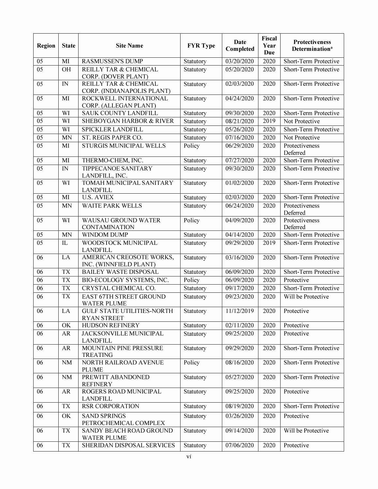| Region          | <b>State</b> | <b>Site Name</b>                                        | <b>FYR Type</b> | Date<br>Completed | Fiscal<br>Year<br>Due | <b>Protectiveness</b><br>Determination <sup>a</sup> |
|-----------------|--------------|---------------------------------------------------------|-----------------|-------------------|-----------------------|-----------------------------------------------------|
| 05              | MI           | <b>RASMUSSEN'S DUMP</b>                                 | Statutory       | 03/20/2020        | 2020                  | Short-Term Protective                               |
| 05              | <b>OH</b>    | REILLY TAR & CHEMICAL<br>CORP. (DOVER PLANT)            | Statutory       | 05/20/2020        | 2020                  | Short-Term Protective                               |
| 05              | IN           | REILLY TAR & CHEMICAL<br>CORP. (INDIANAPOLIS PLANT)     | Statutory       | 02/03/2020        | 2020                  | Short-Term Protective                               |
| 05              | MI           | ROCKWELL INTERNATIONAL<br>CORP. (ALLEGAN PLANT)         | Statutory       | 04/24/2020        | 2020                  | Short-Term Protective                               |
| 05              | WI           | SAUK COUNTY LANDFILL                                    | Statutory       | 09/30/2020        | 2020                  | Short-Term Protective                               |
| 05              | WI           | <b>SHEBOYGAN HARBOR &amp; RIVER</b>                     | Statutory       | 08/21/2020        | 2019                  | Not Protective                                      |
| 05              | WI           | SPICKLER LANDFILL                                       | Statutory       | 05/26/2020        | 2020                  | Short-Term Protective                               |
| $\overline{05}$ | <b>MN</b>    | ST. REGIS PAPER CO.                                     | Statutory       | 07/16/2020        | 2020                  | Not Protective                                      |
| 05              | MI           | STURGIS MUNICIPAL WELLS                                 | Policy          | 06/29/2020        | 2020                  | Protectiveness<br>Deferred                          |
| 05              | MI           | THERMO-CHEM, INC.                                       | Statutory       | 07/27/2020        | 2020                  | Short-Term Protective                               |
| 05              | IN           | TIPPECANOE SANITARY<br>LANDFILL, INC.                   | Statutory       | 09/30/2020        | 2020                  | Short-Term Protective                               |
| 05              | WI           | TOMAH MUNICIPAL SANITARY<br><b>LANDFILL</b>             | Statutory       | 01/02/2020        | 2020                  | Short-Term Protective                               |
| 05              | MI           | <b>U.S. AVIEX</b>                                       | Statutory       | 02/03/2020        | 2020                  | Short-Term Protective                               |
| 05              | <b>MN</b>    | <b>WAITE PARK WELLS</b>                                 | Statutory       | 06/24/2020        | 2020                  | Protectiveness<br>Deferred                          |
| 05              | WI           | <b>WAUSAU GROUND WATER</b><br><b>CONTAMINATION</b>      | Policy          | 04/09/2020        | 2020                  | Protectiveness<br>Deferred                          |
| 05              | <b>MN</b>    | <b>WINDOM DUMP</b>                                      | Statutory       | 04/14/2020        | 2020                  | Short-Term Protective                               |
| 05              | IL           | WOODSTOCK MUNICIPAL<br><b>LANDFILL</b>                  | Statutory       | 09/29/2020        | 2019                  | Short-Term Protective                               |
| 06              | LA           | AMERICAN CREOSOTE WORKS,<br>INC. (WINNFIELD PLANT)      | Statutory       | 03/16/2020        | 2020                  | Short-Term Protective                               |
| 06              | <b>TX</b>    | <b>BAILEY WASTE DISPOSAL</b>                            | Statutory       | 06/09/2020        | 2020                  | Short-Term Protective                               |
| 06              | <b>TX</b>    | BIO-ECOLOGY SYSTEMS, INC.                               | Policy          | 06/09/2020        | 2020                  | Protective                                          |
| 06              | <b>TX</b>    | CRYSTAL CHEMICAL CO.                                    | Statutory       | 09/17/2020        | 2020                  | Short-Term Protective                               |
| 06              | <b>TX</b>    | EAST 67TH STREET GROUND<br><b>WATER PLUME</b>           | Statutory       | 09/23/2020        | 2020                  | Will be Protective                                  |
| 06              | LA           | <b>GULF STATE UTILITIES-NORTH</b><br><b>RYAN STREET</b> | Statutory       | 11/12/2019        | 2020                  | Protective                                          |
| 06              | OK           | HUDSON REFINERY                                         | Statutory       | 02/11/2020        | 2020                  | Protective                                          |
| 06              | AR           | JACKSONVILLE MUNICIPAL<br><b>LANDFILL</b>               | Statutory       | 09/25/2020        | 2020                  | Protective                                          |
| 06              | AR           | MOUNTAIN PINE PRESSURE<br><b>TREATING</b>               | Statutory       | 09/29/2020        | 2020                  | Short-Term Protective                               |
| 06              | <b>NM</b>    | NORTH RAILROAD AVENUE<br><b>PLUME</b>                   | Policy          | 08/16/2020        | 2020                  | Short-Term Protective                               |
| 06              | NM           | PREWITT ABANDONED<br><b>REFINERY</b>                    | Statutory       | 05/27/2020        | 2020                  | Short-Term Protective                               |
| 06              | AR           | ROGERS ROAD MUNICIPAL<br><b>LANDFILL</b>                | Statutory       | 09/25/2020        | 2020                  | Protective                                          |
| 06              | <b>TX</b>    | <b>RSR CORPORATION</b>                                  | Statutory       | 08/19/2020        | 2020                  | Short-Term Protective                               |
| 06              | OK           | <b>SAND SPRINGS</b><br>PETROCHEMICAL COMPLEX            | Statutory       | 03/26/2020        | 2020                  | Protective                                          |
| 06              | <b>TX</b>    | SANDY BEACH ROAD GROUND<br><b>WATER PLUME</b>           | Statutory       | 09/14/2020        | 2020                  | Will be Protective                                  |
| 06              | <b>TX</b>    | SHERIDAN DISPOSAL SERVICES                              | Statutory       | 07/06/2020        | 2020                  | Protective                                          |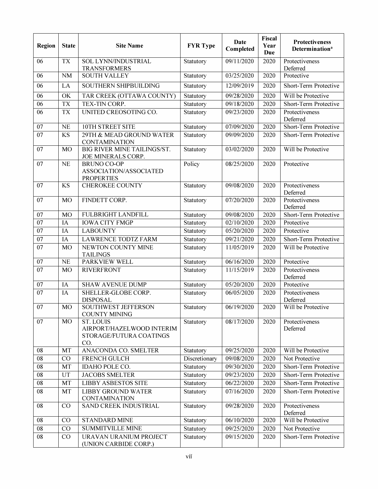| <b>Region</b>   | <b>State</b> | <b>Site Name</b>                                                                | <b>FYR Type</b> | <b>Date</b><br>Completed | Fiscal<br>Year<br><b>Due</b> | Protectiveness<br>Determination <sup>a</sup> |
|-----------------|--------------|---------------------------------------------------------------------------------|-----------------|--------------------------|------------------------------|----------------------------------------------|
| 06              | <b>TX</b>    | SOL LYNN/INDUSTRIAL<br><b>TRANSFORMERS</b>                                      | Statutory       | 09/11/2020               | 2020                         | Protectiveness<br>Deferred                   |
| 06              | <b>NM</b>    | <b>SOUTH VALLEY</b>                                                             | Statutory       | 03/25/2020               | 2020                         | Protective                                   |
| 06              | LA           | SOUTHERN SHIPBUILDING                                                           | Statutory       | 12/09/2019               | 2020                         | Short-Term Protective                        |
| 06              | OK           | TAR CREEK (OTTAWA COUNTY)                                                       | Statutory       | 09/28/2020               | 2020                         | Will be Protective                           |
| 06              | <b>TX</b>    | TEX-TIN CORP.                                                                   | Statutory       | 09/18/2020               | 2020                         | Short-Term Protective                        |
| 06              | <b>TX</b>    | UNITED CREOSOTING CO.                                                           | Statutory       | 09/23/2020               | 2020                         | Protectiveness<br>Deferred                   |
| 07              | <b>NE</b>    | 10TH STREET SITE                                                                | Statutory       | 07/09/2020               | 2020                         | Short-Term Protective                        |
| 07              | <b>KS</b>    | 29TH & MEAD GROUND WATER<br><b>CONTAMINATION</b>                                | Statutory       | 09/09/2020               | 2020                         | Short-Term Protective                        |
| 07              | <b>MO</b>    | BIG RIVER MINE TAILINGS/ST.<br>JOE MINERALS CORP.                               | Statutory       | 03/02/2020               | 2020                         | Will be Protective                           |
| 07              | <b>NE</b>    | <b>BRUNO CO-OP</b><br>ASSOCIATION/ASSOCIATED<br><b>PROPERTIES</b>               | Policy          | 08/25/2020               | 2020                         | Protective                                   |
| 07              | <b>KS</b>    | <b>CHEROKEE COUNTY</b>                                                          | Statutory       | 09/08/2020               | 2020                         | Protectiveness<br>Deferred                   |
| 07              | <b>MO</b>    | FINDETT CORP.                                                                   | Statutory       | 07/20/2020               | 2020                         | Protectiveness<br>Deferred                   |
| 07              | <b>MO</b>    | FULBRIGHT LANDFILL                                                              | Statutory       | 09/08/2020               | 2020                         | Short-Term Protective                        |
| 07              | IA           | <b>IOWA CITY FMGP</b>                                                           | Statutory       | 02/10/2020               | 2020                         | Protective                                   |
| 07              | IA           | <b>LABOUNTY</b>                                                                 | Statutory       | 05/20/2020               | 2020                         | Protective                                   |
| 07              | IA           | <b>LAWRENCE TODTZ FARM</b>                                                      | Statutory       | 09/21/2020               | 2020                         | Short-Term Protective                        |
| 07              | <b>MO</b>    | NEWTON COUNTY MINE<br><b>TAILINGS</b>                                           | Statutory       | 11/05/2019               | 2020                         | Will be Protective                           |
| 07              | <b>NE</b>    | PARKVIEW WELL                                                                   | Statutory       | 06/16/2020               | 2020                         | Protective                                   |
| 07              | <b>MO</b>    | <b>RIVERFRONT</b>                                                               | Statutory       | 11/15/2019               | 2020                         | Protectiveness<br>Deferred                   |
| 07              | IA           | <b>SHAW AVENUE DUMP</b>                                                         | Statutory       | 05/20/2020               | 2020                         | Protective                                   |
| 07              | IA           | SHELLER-GLOBE CORP.<br><b>DISPOSAL</b>                                          | Statutory       | 06/05/2020               | 2020                         | Protectiveness<br>Deferred                   |
| 07              | <b>MO</b>    | <b>SOUTHWEST JEFFERSON</b><br><b>COUNTY MINING</b>                              | Statutory       | 06/19/2020               | 2020                         | Will be Protective                           |
| 07              | <b>MO</b>    | <b>ST. LOUIS</b><br>AIRPORT/HAZELWOOD INTERIM<br>STORAGE/FUTURA COATINGS<br>CO. | Statutory       | 08/17/2020               | 2020                         | Protectiveness<br>Deferred                   |
| 08              | MT           | ANACONDA CO. SMELTER                                                            | Statutory       | 09/25/2020               | 2020                         | Will be Protective                           |
| 08              | CO           | FRENCH GULCH                                                                    | Discretionary   | 09/08/2020               | 2020                         | Not Protective                               |
| $\overline{08}$ | MT           | IDAHO POLE CO.                                                                  | Statutory       | 09/30/2020               | 2020                         | Short-Term Protective                        |
| 08              | UT           | <b>JACOBS SMELTER</b>                                                           | Statutory       | 09/23/2020               | 2020                         | Short-Term Protective                        |
| 08              | MT           | <b>LIBBY ASBESTOS SITE</b>                                                      | Statutory       | 06/22/2020               | 2020                         | Short-Term Protective                        |
| 08              | MT           | <b>LIBBY GROUND WATER</b><br><b>CONTAMINATION</b>                               | Statutory       | 07/16/2020               | 2020                         | Short-Term Protective                        |
| 08              | CO           | SAND CREEK INDUSTRIAL                                                           | Statutory       | 09/28/2020               | 2020                         | Protectiveness<br>Deferred                   |
| 08              | CO           | <b>STANDARD MINE</b>                                                            | Statutory       | 06/10/2020               | 2020                         | Will be Protective                           |
| 08              | CO           | <b>SUMMITVILLE MINE</b>                                                         | Statutory       | 09/25/2020               | 2020                         | Not Protective                               |
| 08              | CO           | URAVAN URANIUM PROJECT<br>(UNION CARBIDE CORP.)                                 | Statutory       | 09/15/2020               | 2020                         | Short-Term Protective                        |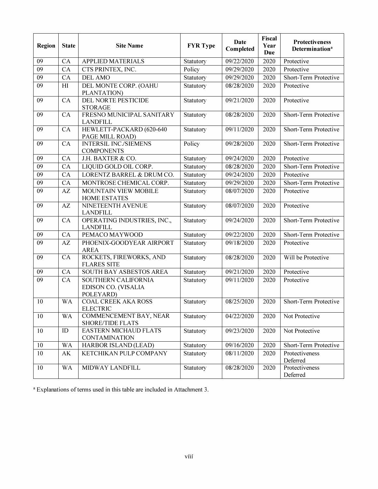| Region | <b>State</b>   | <b>Site Name</b>                                        | <b>FYR Type</b> | <b>Date</b><br>Completed | Fiscal<br>Year<br>Due | <b>Protectiveness</b><br>Determination <sup>a</sup> |
|--------|----------------|---------------------------------------------------------|-----------------|--------------------------|-----------------------|-----------------------------------------------------|
| 09     | CA             | <b>APPLIED MATERIALS</b>                                | Statutory       | 09/22/2020               | 2020                  | Protective                                          |
| 09     | CA             | CTS PRINTEX, INC.                                       | Policy          | 09/29/2020               | 2020                  | Protective                                          |
| 09     | CA             | <b>DEL AMO</b>                                          | Statutory       | 09/29/2020               | 2020                  | Short-Term Protective                               |
| 09     | H <sub>I</sub> | DEL MONTE CORP. (OAHU<br>PLANTATION)                    | Statutory       | 08/28/2020               | 2020                  | Protective                                          |
| 09     | CA             | DEL NORTE PESTICIDE<br><b>STORAGE</b>                   | Statutory       | 09/21/2020               | 2020                  | Protective                                          |
| 09     | CA             | FRESNO MUNICIPAL SANITARY<br><b>LANDFILL</b>            | Statutory       | 08/28/2020               | 2020                  | Short-Term Protective                               |
| 09     | CA             | HEWLETT-PACKARD (620-640<br>PAGE MILL ROAD)             | Statutory       | 09/11/2020               | 2020                  | Short-Term Protective                               |
| 09     | CA             | <b>INTERSIL INC/SIEMENS</b><br><b>COMPONENTS</b>        | Policy          | 09/28/2020               | 2020                  | Short-Term Protective                               |
| 09     | CA             | J.H. BAXTER & CO.                                       | Statutory       | 09/24/2020               | 2020                  | Protective                                          |
| 09     | CA             | LIQUID GOLD OIL CORP.                                   | Statutory       | 08/28/2020               | 2020                  | Short-Term Protective                               |
| 09     | CA             | LORENTZ BARREL & DRUM CO.                               | Statutory       | 09/24/2020               | 2020                  | Protective                                          |
| 09     | CA             | MONTROSE CHEMICAL CORP.                                 | Statutory       | 09/29/2020               | 2020                  | Short-Term Protective                               |
| 09     | AZ             | MOUNTAIN VIEW MOBILE<br><b>HOME ESTATES</b>             | Statutory       | 08/07/2020               | 2020                  | Protective                                          |
| 09     | AZ             | NINETEENTH AVENUE<br><b>LANDFILL</b>                    | Statutory       | 08/07/2020               | 2020                  | Protective                                          |
| 09     | CA             | OPERATING INDUSTRIES, INC.,<br><b>LANDFILL</b>          | Statutory       | 09/24/2020               | 2020                  | Short-Term Protective                               |
| 09     | CA             | PEMACO MAYWOOD                                          | Statutory       | 09/22/2020               | 2020                  | Short-Term Protective                               |
| 09     | AZ             | PHOENIX-GOODYEAR AIRPORT<br><b>AREA</b>                 | Statutory       | 09/18/2020               | 2020                  | Protective                                          |
| 09     | CA             | ROCKETS, FIREWORKS, AND<br><b>FLARES SITE</b>           | Statutory       | 08/28/2020               | 2020                  | Will be Protective                                  |
| 09     | CA             | SOUTH BAY ASBESTOS AREA                                 | Statutory       | 09/21/2020               | 2020                  | Protective                                          |
| 09     | CA             | SOUTHERN CALIFORNIA<br>EDISON CO. (VISALIA<br>POLEYARD) | Statutory       | 09/11/2020               | 2020                  | Protective                                          |
| 10     | <b>WA</b>      | <b>COAL CREEK AKA ROSS</b><br><b>ELECTRIC</b>           | Statutory       | 08/25/2020               | 2020                  | Short-Term Protective                               |
| 10     | <b>WA</b>      | COMMENCEMENT BAY, NEAR<br><b>SHORE/TIDE FLATS</b>       | Statutory       | 04/22/2020               | 2020                  | Not Protective                                      |
| 10     | ID             | <b>EASTERN MICHAUD FLATS</b><br><b>CONTAMINATION</b>    | Statutory       | 09/23/2020               | 2020                  | Not Protective                                      |
| 10     | WA             | HARBOR ISLAND (LEAD)                                    | Statutory       | 09/16/2020               | 2020                  | Short-Term Protective                               |
| 10     | AK             | KETCHIKAN PULP COMPANY                                  | Statutory       | 08/11/2020               | 2020                  | Protectiveness<br>Deferred                          |
| 10     | WA             | MIDWAY LANDFILL                                         | Statutory       | 08/28/2020               | 2020                  | Protectiveness<br>Deferred                          |

<sup>a</sup> Explanations of terms used in this table are included in Attachment 3.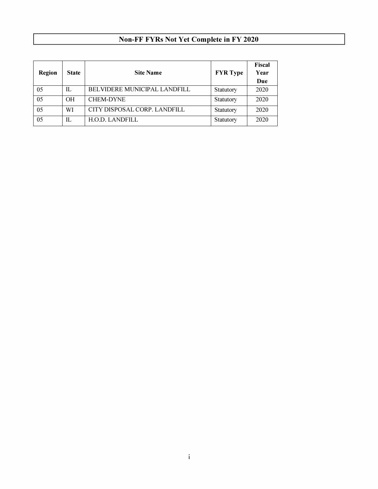# **Non-FF FYRs Not Yet Complete in FY 2020**

| Region | <b>State</b>   | <b>Site Name</b>                    | <b>FYR</b> Type | Fiscal<br>Year<br>Due |
|--------|----------------|-------------------------------------|-----------------|-----------------------|
| 05     | H.             | <b>BELVIDERE MUNICIPAL LANDFILL</b> | Statutory       | 2020                  |
| 05     | O <sub>H</sub> | <b>CHEM-DYNE</b>                    | Statutory       | 2020                  |
| 05     | WI             | CITY DISPOSAL CORP. LANDFILL        | Statutory       | 2020                  |
| 05     | H.             | <b>H.O.D. LANDFILL</b>              | Statutory       | 2020                  |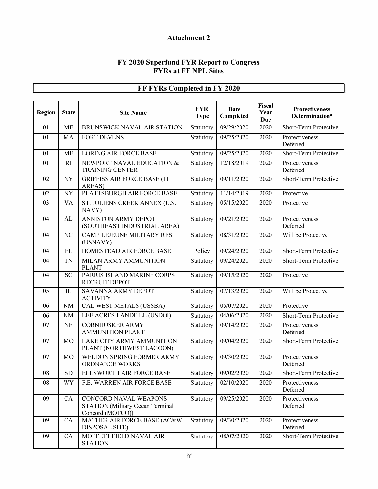# **Attachment 2**

## **FY 2020 Superfund FYR Report to Congress FYRs at FF NPL Sites**

| Region | <b>State</b> | <b>Site Name</b>                                                                     | <b>FYR</b><br><b>Type</b> | Date<br>Completed   | Fiscal<br>Year<br><b>Due</b> | <b>Protectiveness</b><br><b>Determination</b> <sup>a</sup> |
|--------|--------------|--------------------------------------------------------------------------------------|---------------------------|---------------------|------------------------------|------------------------------------------------------------|
| 01     | <b>ME</b>    | BRUNSWICK NAVAL AIR STATION                                                          | Statutory                 | 09/29/2020          | 2020                         | Short-Term Protective                                      |
| 01     | MA           | <b>FORT DEVENS</b>                                                                   | Statutory                 | 09/25/2020          | 2020                         | Protectiveness<br>Deferred                                 |
| 01     | <b>ME</b>    | <b>LORING AIR FORCE BASE</b>                                                         | Statutory                 | 09/25/2020          | 2020                         | Short-Term Protective                                      |
| 01     | RI           | NEWPORT NAVAL EDUCATION &<br><b>TRAINING CENTER</b>                                  | Statutory                 | 12/18/2019          | 2020                         | Protectiveness<br>Deferred                                 |
| 02     | <b>NY</b>    | <b>GRIFFISS AIR FORCE BASE (11</b><br>AREAS)                                         | Statutory                 | $\sqrt{09/11/2020}$ | 2020                         | Short-Term Protective                                      |
| 02     | <b>NY</b>    | PLATTSBURGH AIR FORCE BASE                                                           | Statutory                 | 11/14/2019          | 2020                         | Protective                                                 |
| 03     | VA           | ST. JULIENS CREEK ANNEX (U.S.<br>NAVY)                                               | Statutory                 | 05/15/2020          | 2020                         | Protective                                                 |
| 04     | AL           | <b>ANNISTON ARMY DEPOT</b><br>(SOUTHEAST INDUSTRIAL AREA)                            | Statutory                 | 09/21/2020          | 2020                         | Protectiveness<br>Deferred                                 |
| 04     | NC           | CAMP LEJEUNE MILITARY RES.<br>(USNAVY)                                               | Statutory                 | 08/31/2020          | 2020                         | Will be Protective                                         |
| 04     | <b>FL</b>    | HOMESTEAD AIR FORCE BASE                                                             | Policy                    | 09/24/2020          | 2020                         | Short-Term Protective                                      |
| 04     | TN           | MILAN ARMY AMMUNITION<br><b>PLANT</b>                                                | Statutory                 | 09/24/2020          | 2020                         | Short-Term Protective                                      |
| 04     | <b>SC</b>    | PARRIS ISLAND MARINE CORPS<br>RECRUIT DEPOT                                          | Statutory                 | 09/15/2020          | 2020                         | Protective                                                 |
| 05     | IL           | <b>SAVANNA ARMY DEPOT</b><br><b>ACTIVITY</b>                                         | Statutory                 | 07/13/2020          | 2020                         | Will be Protective                                         |
| 06     | <b>NM</b>    | CAL WEST METALS (USSBA)                                                              | Statutory                 | 05/07/2020          | 2020                         | Protective                                                 |
| 06     | <b>NM</b>    | LEE ACRES LANDFILL (USDOI)                                                           | Statutory                 | $\sqrt{04/06/2020}$ | 2020                         | Short-Term Protective                                      |
| 07     | <b>NE</b>    | <b>CORNHUSKER ARMY</b><br><b>AMMUNITION PLANT</b>                                    | Statutory                 | 09/14/2020          | 2020                         | Protectiveness<br>Deferred                                 |
| 07     | <b>MO</b>    | LAKE CITY ARMY AMMUNITION<br>PLANT (NORTHWEST LAGOON)                                | Statutory                 | 09/04/2020          | 2020                         | Short-Term Protective                                      |
| 07     | <b>MO</b>    | WELDON SPRING FORMER ARMY<br>ORDNANCE WORKS                                          | Statutory                 | 09/30/2020          | 2020                         | Protectiveness<br>Deferred                                 |
| 08     | SD.          | ELLSWORTH AIR FORCE BASE                                                             | <b>Statutory</b>          | 09/02/2020          | 2020                         | Short-Term Protective                                      |
| 08     | WY           | F.E. WARREN AIR FORCE BASE                                                           | Statutory                 | 02/10/2020          | 2020                         | Protectiveness<br>Deferred                                 |
| 09     | CA           | CONCORD NAVAL WEAPONS<br><b>STATION</b> (Military Ocean Terminal<br>Concord (MOTCO)) | Statutory                 | 09/25/2020          | 2020                         | Protectiveness<br>Deferred                                 |
| 09     | CA           | MATHER AIR FORCE BASE (AC&W<br><b>DISPOSAL SITE)</b>                                 | Statutory                 | 09/30/2020          | 2020                         | Protectiveness<br>Deferred                                 |
| 09     | ${\rm CA}$   | MOFFETT FIELD NAVAL AIR<br><b>STATION</b>                                            | Statutory                 | 08/07/2020          | 2020                         | Short-Term Protective                                      |

# **FF FYRs Completed in FY 2020**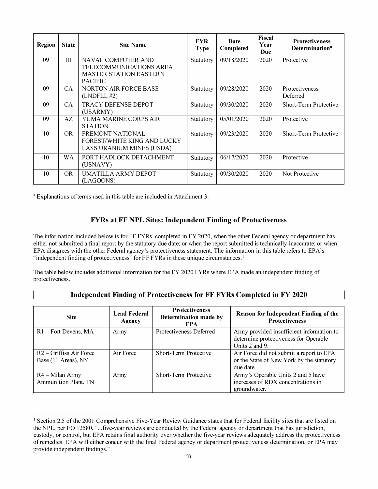| <b>Region</b> | <b>State</b> | <b>Site Name</b>                                                                                 | <b>FYR</b><br><b>Type</b> | Date<br>Completed | <b>Fiscal</b><br>Year<br>Due | <b>Protectiveness</b><br>Determination <sup>a</sup> |
|---------------|--------------|--------------------------------------------------------------------------------------------------|---------------------------|-------------------|------------------------------|-----------------------------------------------------|
| 09            | HI           | NAVAL COMPUTER AND<br>TELECOMMUNICATIONS AREA<br><b>MASTER STATION EASTERN</b><br><b>PACIFIC</b> | Statutory                 | 09/18/2020        | 2020                         | Protective                                          |
| 09            | CA.          | NORTON AIR FORCE BASE<br>(LNDELL #2)                                                             | Statutory                 | 09/28/2020        | 2020                         | Protectiveness<br>Deferred                          |
| 09            | CA           | <b>TRACY DEFENSE DEPOT</b><br>(USARMY)                                                           | Statutory                 | 09/30/2020        | 2020                         | Short-Term Protective                               |
| 09            | AZ           | YUMA MARINE CORPS AIR<br><b>STATION</b>                                                          | Statutory                 | 05/01/2020        | 2020                         | Protective                                          |
| 10            | OR.          | FREMONT NATIONAL<br>FOREST/WHITE KING AND LUCKY<br>LASS URANIUM MINES (USDA)                     | Statutory                 | 09/23/2020        | 2020                         | Short-Term Protective                               |
| 10            | WA           | PORT HADLOCK DETACHMENT<br>(USNAVY)                                                              | Statutory                 | 06/17/2020        | 2020                         | Protective                                          |
| 10            | OR.          | <b>UMATILLA ARMY DEPOT</b><br>(LAGOONS)                                                          | Statutory                 | 09/30/2020        | 2020                         | Not Protective                                      |

• Explanations of terms used in this table are included in Attachment 3.

## **FYRs at FF NPL Sites: Independent Finding of Protectiveness**

The information included below is for FF FYRs, completed in FY 2020, when the other Federal agency or department has either not submitted a final report by the statutory due date; or when the report submitted is technically inaccurate; or when EPA disagrees with the other Federal agency's protectiveness statement. The information in this table refers to EPA's "independent finding of protectiveness" for FF FYRs in these unique circumstances.<sup>1</sup>

The table below includes additional information for the FY 2020 FYRs where EPA made an independent finding of protectiveness.

#### **Independent Finding of Protectiveness for FF FYRs Completed in FY 2020**

| <b>Site</b>                                      | <b>Lead Federal</b><br>Agency | <b>Protectiveness</b><br>Determination made by<br><b>EPA</b> | Reason for Independent Finding of the<br><b>Protectiveness</b>                                       |
|--------------------------------------------------|-------------------------------|--------------------------------------------------------------|------------------------------------------------------------------------------------------------------|
| $R1$ – Fort Devens, MA                           | Army                          | Protectiveness Deferred                                      | Army provided insufficient information to<br>determine protectiveness for Operable<br>Units 2 and 9. |
| $R2 -$ Griffiss Air Force<br>Base (11 Areas), NY | Air Force                     | Short-Term Protective                                        | Air Force did not submit a report to EPA<br>or the State of New York by the statutory<br>due date.   |
| R4 - Milan Army<br>Ammunition Plant, TN          | Army                          | Short-Term Protective                                        | Army's Operable Units 2 and 5 have<br>increases of RDX concentrations in<br>groundwater.             |

<span id="page-15-0"></span><sup>&</sup>lt;sup>1</sup> Section 2.5 of the 2001 Comprehensive Five-Year Review Guidance states that for Federal facility sites that are listed on the NPL, per EO 12580, "... five-year reviews are conducted by the Federal agency or department that has jurisdiction, custody, or control, but EPA retains final authority over whether the five-year reviews adequately address the protectiveness of remedies. EPA will either concur with the final Federal agency or department protectiveness determination, or EPA may provide independent findings."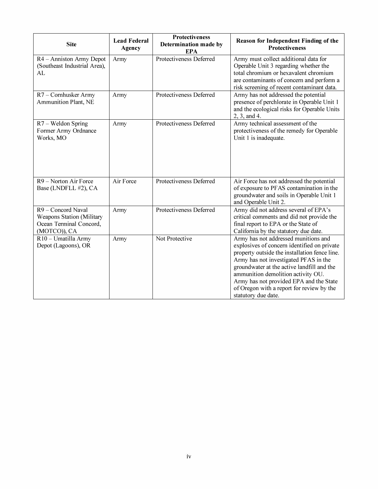| <b>Site</b>                                                                                | <b>Lead Federal</b><br>Agency | <b>Protectiveness</b><br>Determination made by<br><b>EPA</b> | Reason for Independent Finding of the<br><b>Protectiveness</b>                                                                                                                                                                                                                                                                                                                   |
|--------------------------------------------------------------------------------------------|-------------------------------|--------------------------------------------------------------|----------------------------------------------------------------------------------------------------------------------------------------------------------------------------------------------------------------------------------------------------------------------------------------------------------------------------------------------------------------------------------|
| R4 - Anniston Army Depot<br>(Southeast Industrial Area),<br>AL                             | Army                          | Protectiveness Deferred                                      | Army must collect additional data for<br>Operable Unit 3 regarding whether the<br>total chromium or hexavalent chromium<br>are contaminants of concern and perform a<br>risk screening of recent contaminant data.                                                                                                                                                               |
| R7 - Cornhusker Army<br>Ammunition Plant, NE                                               | Army                          | Protectiveness Deferred                                      | Army has not addressed the potential<br>presence of perchlorate in Operable Unit 1<br>and the ecological risks for Operable Units<br>2, 3, and 4.                                                                                                                                                                                                                                |
| $R7 -$ Weldon Spring<br>Former Army Ordnance<br>Works, MO                                  | Army                          | Protectiveness Deferred                                      | Army technical assessment of the<br>protectiveness of the remedy for Operable<br>Unit 1 is inadequate.                                                                                                                                                                                                                                                                           |
| R9 - Norton Air Force<br>Base (LNDFLL #2), CA                                              | Air Force                     | Protectiveness Deferred                                      | Air Force has not addressed the potential<br>of exposure to PFAS contamination in the<br>groundwater and soils in Operable Unit 1<br>and Operable Unit 2.                                                                                                                                                                                                                        |
| R9 - Concord Naval<br>Weapons Station (Military<br>Ocean Terminal Concord,<br>(MOTCO)), CA | Army                          | Protectiveness Deferred                                      | Army did not address several of EPA's<br>critical comments and did not provide the<br>final report to EPA or the State of<br>California by the statutory due date.                                                                                                                                                                                                               |
| R10 - Umatilla Army<br>Depot (Lagoons), OR                                                 | Army                          | Not Protective                                               | Army has not addressed munitions and<br>explosives of concern identified on private<br>property outside the installation fence line.<br>Army has not investigated PFAS in the<br>groundwater at the active landfill and the<br>ammunition demolition activity OU.<br>Army has not provided EPA and the State<br>of Oregon with a report for review by the<br>statutory due date. |